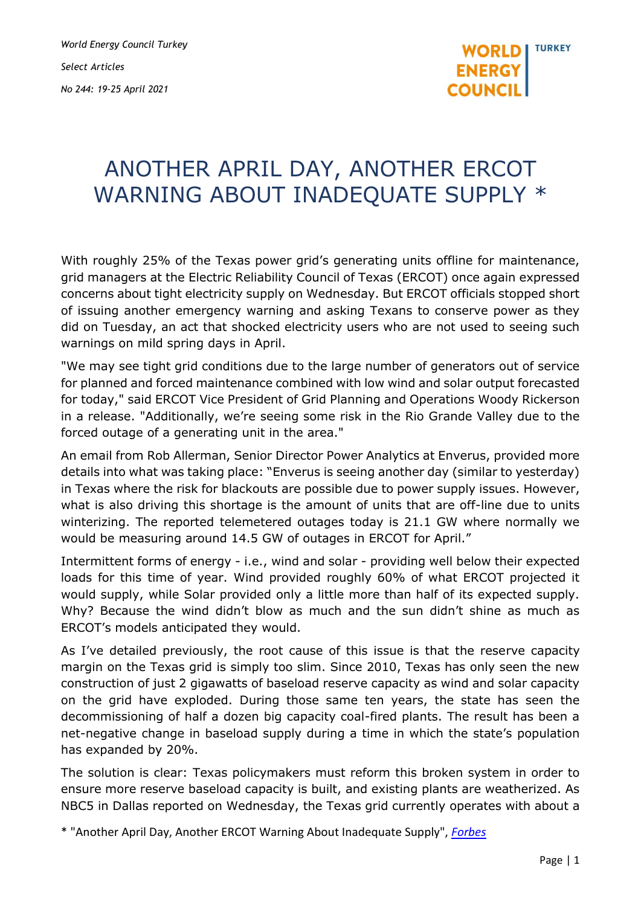*World Energy Council Turkey Select Articles No 244: 19-25 April 2021*

## ANOTHER APRIL DAY, ANOTHER ERCOT WARNING ABOUT INADEQUATE SUPPLY \*

With roughly 25% of the Texas power grid's generating units offline for maintenance, grid managers at the Electric Reliability Council of Texas (ERCOT) once again expressed concerns about tight electricity supply on Wednesday. But ERCOT officials stopped short of issuing another emergency warning and asking Texans to conserve power as they did on Tuesday, an act that shocked electricity users who are not used to seeing such warnings on mild spring days in April.

"We may see tight grid conditions due to the large number of generators out of service for planned and forced maintenance combined with low wind and solar output forecasted for today," said ERCOT Vice President of Grid Planning and Operations Woody Rickerson in a release. "Additionally, we're seeing some risk in the Rio Grande Valley due to the forced outage of a generating unit in the area."

An email from Rob Allerman, Senior Director Power Analytics at Enverus, provided more details into what was taking place: "Enverus is seeing another day (similar to yesterday) in Texas where the risk for blackouts are possible due to power supply issues. However, what is also driving this shortage is the amount of units that are off-line due to units winterizing. The reported telemetered outages today is 21.1 GW where normally we would be measuring around 14.5 GW of outages in ERCOT for April."

Intermittent forms of energy - i.e., wind and solar - providing well below their expected loads for this time of year. Wind provided roughly 60% of what ERCOT projected it would supply, while Solar provided only a little more than half of its expected supply. Why? Because the wind didn't blow as much and the sun didn't shine as much as ERCOT's models anticipated they would.

As I've detailed previously, the root cause of this issue is that the reserve capacity margin on the Texas grid is simply too slim. Since 2010, Texas has only seen the new construction of just 2 gigawatts of baseload reserve capacity as wind and solar capacity on the grid have exploded. During those same ten years, the state has seen the decommissioning of half a dozen big capacity coal-fired plants. The result has been a net-negative change in baseload supply during a time in which the state's population has expanded by 20%.

The solution is clear: Texas policymakers must reform this broken system in order to ensure more reserve baseload capacity is built, and existing plants are weatherized. As NBC5 in Dallas reported on Wednesday, the Texas grid currently operates with about a

\* "Another April Day, Another ERCOT Warning About Inadequate Supply", *[Forbes](https://www.forbes.com/sites/davidblackmon/2021/04/15/another-april-day-another-ercot-warning-about-inadequate-supply/?sh=7f6e805463fd)*